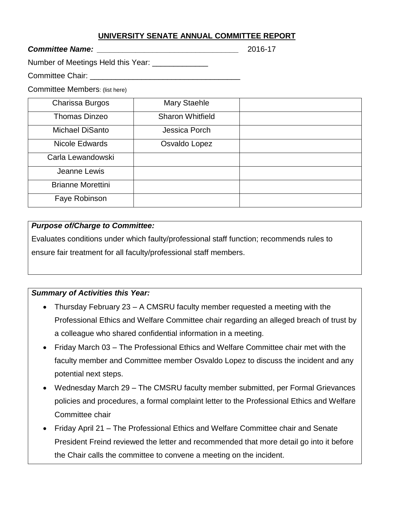### **UNIVERSITY SENATE ANNUAL COMMITTEE REPORT**

#### *Committee Name: \_\_\_\_\_\_\_\_\_\_\_\_\_\_\_\_\_\_\_\_\_\_\_\_\_\_\_\_\_\_\_\_\_* 2016-17

Number of Meetings Held this Year: \_\_\_\_\_\_\_\_\_\_\_\_\_

Committee Chair: \_\_\_\_\_\_\_\_\_\_\_\_\_\_\_\_\_\_\_\_\_\_\_\_\_\_\_\_\_\_\_\_\_\_\_

Committee Members: (list here)

| Charissa Burgos          | <b>Mary Staehle</b>     |  |
|--------------------------|-------------------------|--|
| <b>Thomas Dinzeo</b>     | <b>Sharon Whitfield</b> |  |
| <b>Michael DiSanto</b>   | Jessica Porch           |  |
| Nicole Edwards           | Osvaldo Lopez           |  |
| Carla Lewandowski        |                         |  |
| Jeanne Lewis             |                         |  |
| <b>Brianne Morettini</b> |                         |  |
| Faye Robinson            |                         |  |

### *Purpose of/Charge to Committee:*

Evaluates conditions under which faulty/professional staff function; recommends rules to ensure fair treatment for all faculty/professional staff members.

## *Summary of Activities this Year:*

- Thursday February 23 A CMSRU faculty member requested a meeting with the Professional Ethics and Welfare Committee chair regarding an alleged breach of trust by a colleague who shared confidential information in a meeting.
- Friday March 03 The Professional Ethics and Welfare Committee chair met with the faculty member and Committee member Osvaldo Lopez to discuss the incident and any potential next steps.
- Wednesday March 29 The CMSRU faculty member submitted, per Formal Grievances policies and procedures, a formal complaint letter to the Professional Ethics and Welfare Committee chair
- Friday April 21 The Professional Ethics and Welfare Committee chair and Senate President Freind reviewed the letter and recommended that more detail go into it before the Chair calls the committee to convene a meeting on the incident.